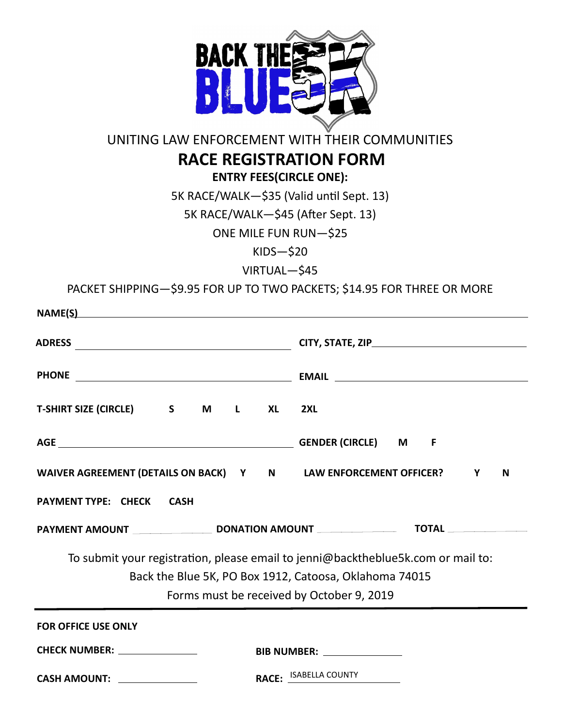

## UNITING LAW ENFORCEMENT WITH THEIR COMMUNITIES

## **RACE REGISTRATION FORM**

**ENTRY FEES(CIRCLE ONE):**

5K RACE/WALK—\$35 (Valid until Sept. 13)

5K RACE/WALK—\$45 (After Sept. 13)

ONE MILE FUN RUN—\$25

KIDS—\$20

VIRTUAL—\$45

PACKET SHIPPING—\$9.95 FOR UP TO TWO PACKETS; \$14.95 FOR THREE OR MORE

| $\mathsf{NAME}(\underline{\mathsf{S}})$                                          |                       |
|----------------------------------------------------------------------------------|-----------------------|
|                                                                                  |                       |
|                                                                                  |                       |
| T-SHIRT SIZE (CIRCLE) S M L XL                                                   | 2XL                   |
|                                                                                  |                       |
| WAIVER AGREEMENT (DETAILS ON BACK) Y N LAW ENFORCEMENT OFFICER? Y<br>N           |                       |
| <b>PAYMENT TYPE: CHECK CASH</b>                                                  |                       |
|                                                                                  |                       |
| To submit your registration, please email to jenni@backtheblue5k.com or mail to: |                       |
| Back the Blue 5K, PO Box 1912, Catoosa, Oklahoma 74015                           |                       |
| Forms must be received by October 9, 2019                                        |                       |
| <b>FOR OFFICE USE ONLY</b>                                                       |                       |
| CHECK NUMBER: _______________<br>BIB NUMBER: _______________                     |                       |
| CASH AMOUNT: <b>With the Second Street Amount:</b>                               | RACE: ISABELLA COUNTY |
|                                                                                  |                       |